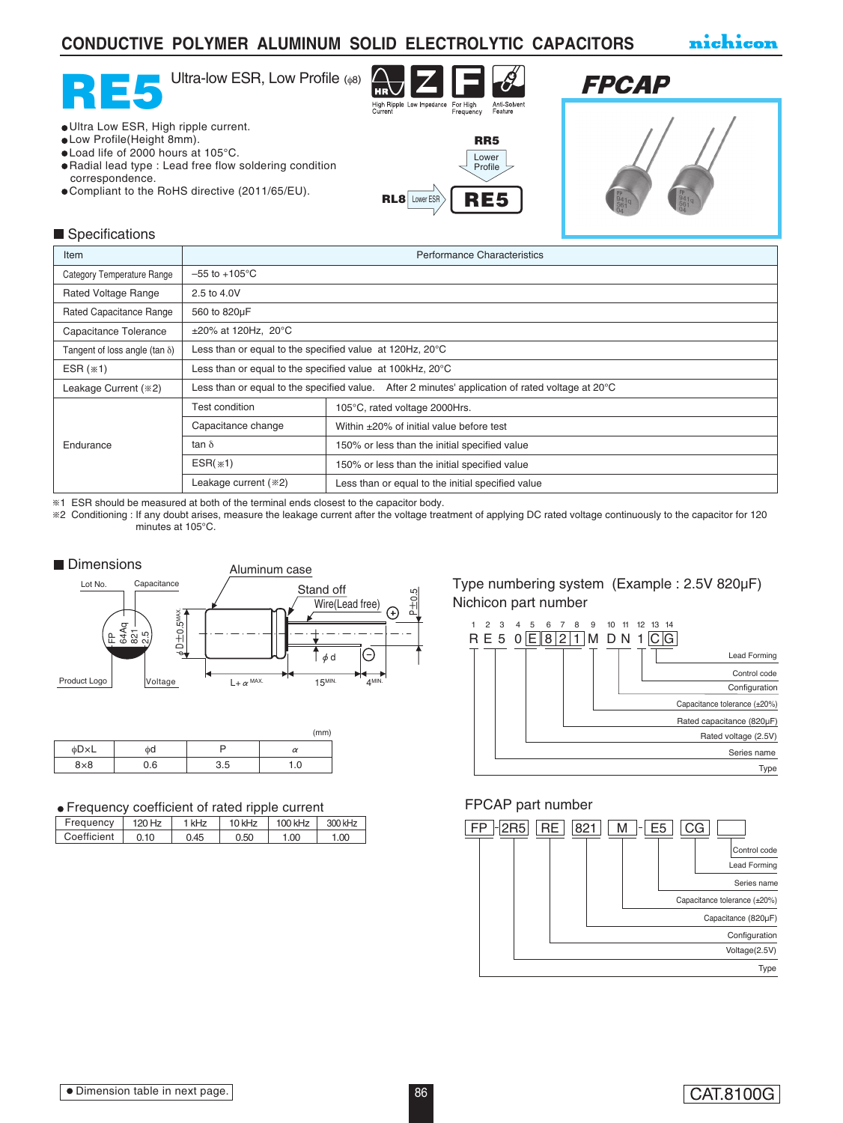## **CONDUCTIVE POLYMER ALUMINUM SOLID ELECTROLYTIC CAPACITORS**

nichicon





# **FPCAP**



#### Ultra Low ESR, High ripple current. Low Profile(Height 8mm).

- Load life of 2000 hours at 105°C.
- Radial lead type : Lead free flow soldering condition correspondence.
- Compliant to the RoHS directive (2011/65/EU). RL8 Lower ESR RE5





| Item                                  | <b>Performance Characteristics</b>                                                                         |                                                   |  |  |  |
|---------------------------------------|------------------------------------------------------------------------------------------------------------|---------------------------------------------------|--|--|--|
| <b>Category Temperature Range</b>     | $-55$ to $+105^{\circ}$ C                                                                                  |                                                   |  |  |  |
| <b>Rated Voltage Range</b>            | 2.5 to 4.0V                                                                                                |                                                   |  |  |  |
| Rated Capacitance Range               | 560 to 820µF                                                                                               |                                                   |  |  |  |
| Capacitance Tolerance                 | $\pm 20\%$ at 120Hz, 20°C                                                                                  |                                                   |  |  |  |
| Tangent of loss angle (tan $\delta$ ) | Less than or equal to the specified value at 120Hz, 20°C                                                   |                                                   |  |  |  |
| ESR $(*1)$                            | Less than or equal to the specified value at 100kHz, 20°C                                                  |                                                   |  |  |  |
| Leakage Current (*2)                  | Less than or equal to the specified value. After 2 minutes' application of rated voltage at $20^{\circ}$ C |                                                   |  |  |  |
|                                       | Test condition                                                                                             | 105°C, rated voltage 2000Hrs.                     |  |  |  |
| Endurance                             | Capacitance change                                                                                         | Within $\pm 20\%$ of initial value before test    |  |  |  |
|                                       | tan $\delta$                                                                                               | 150% or less than the initial specified value     |  |  |  |
|                                       | $ESR$ $(*)$                                                                                                | 150% or less than the initial specified value     |  |  |  |
|                                       | Leakage current (*2)                                                                                       | Less than or equal to the initial specified value |  |  |  |

1 ESR should be measured at both of the terminal ends closest to the capacitor body.

2 Conditioning : If any doubt arises, measure the leakage current after the voltage treatment of applying DC rated voltage continuously to the capacitor for 120 minutes at 105°C.



|            |     |     | (mm)     |
|------------|-----|-----|----------|
| φD×L       | фd  |     | $\alpha$ |
| $8\times8$ | 0.6 | 3.5 | 1.0      |

#### Frequency coefficient of rated ripple current

| -------------- |        |       |        |         |         |  |  |
|----------------|--------|-------|--------|---------|---------|--|--|
| Frequency      | 120 Hz | 1 kHz | 10 kHz | 100 kHz | 300 kHz |  |  |
| Coefficient    | 0.10   | 0.45  | 0.50   | 1.00    | 1.00    |  |  |

### Type numbering system (Example : 2.5V 820µF) Nichicon part number



### FPCAP part number